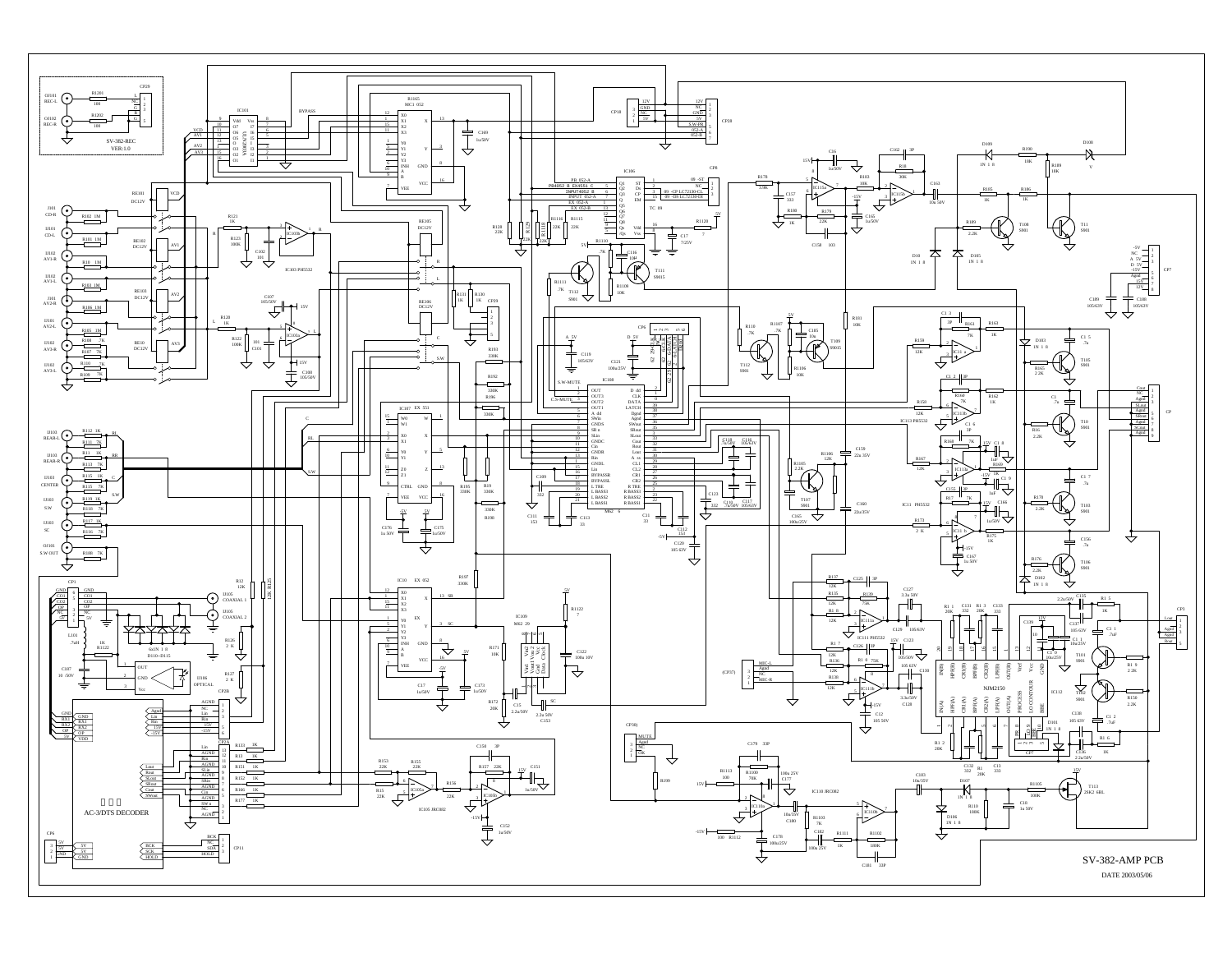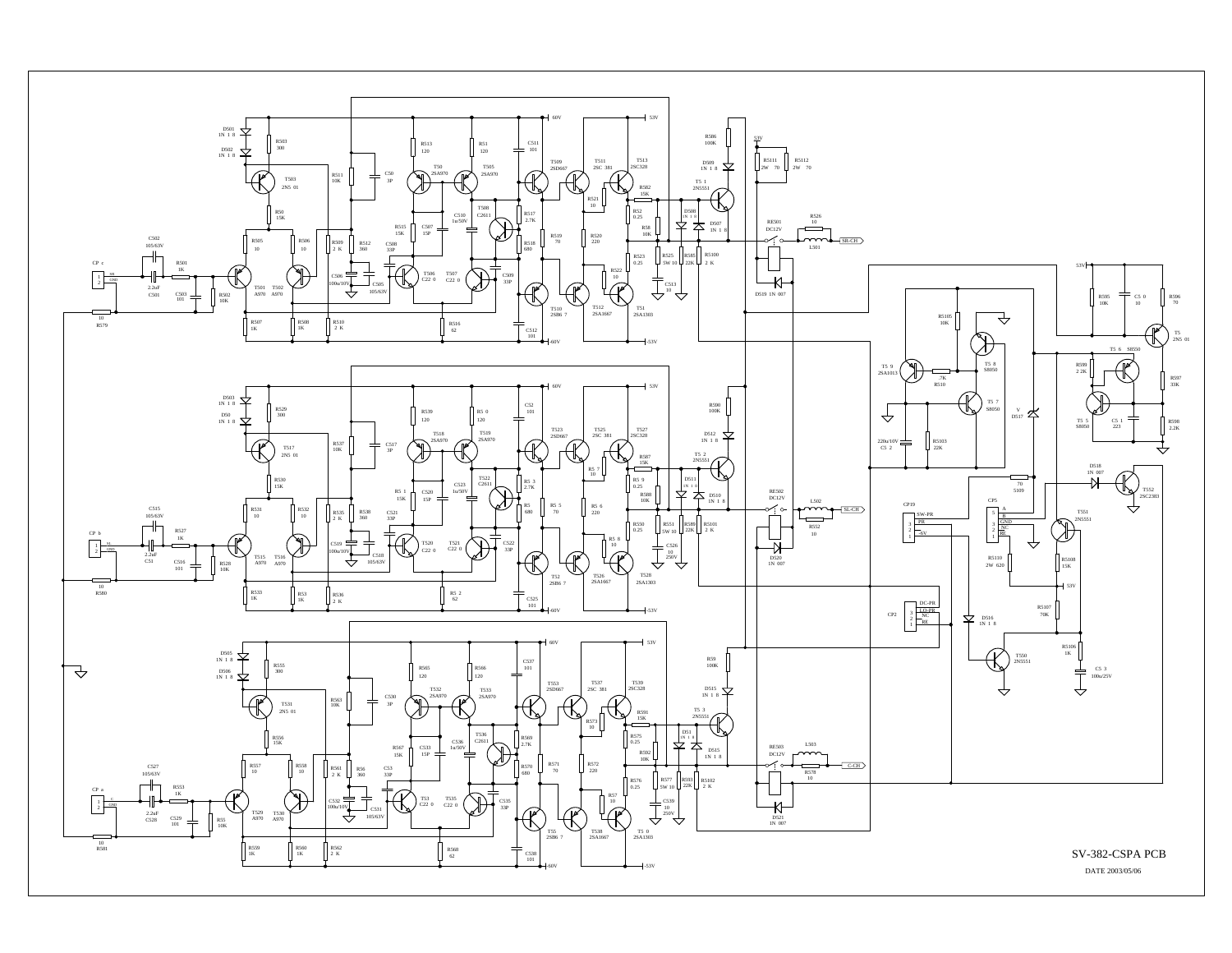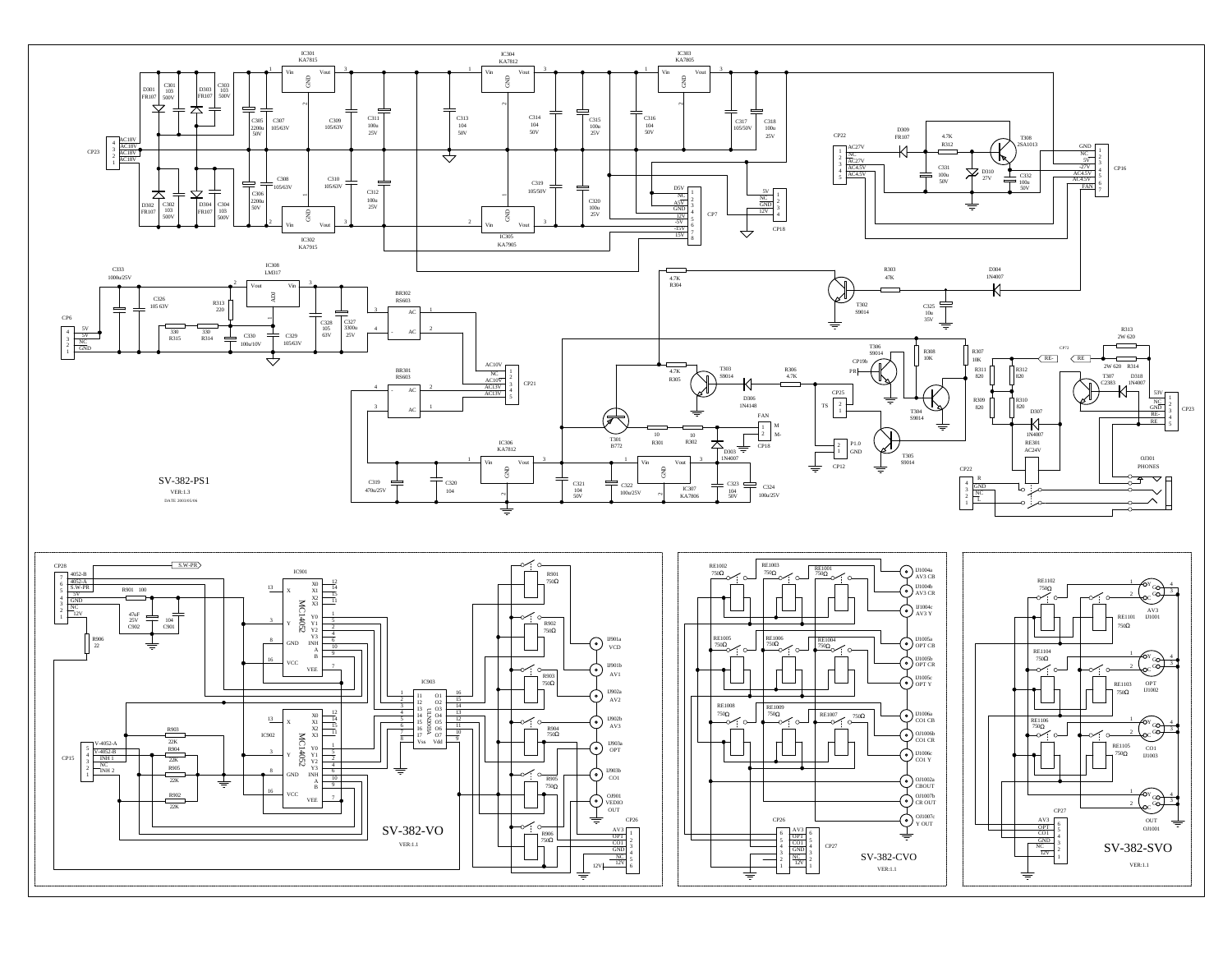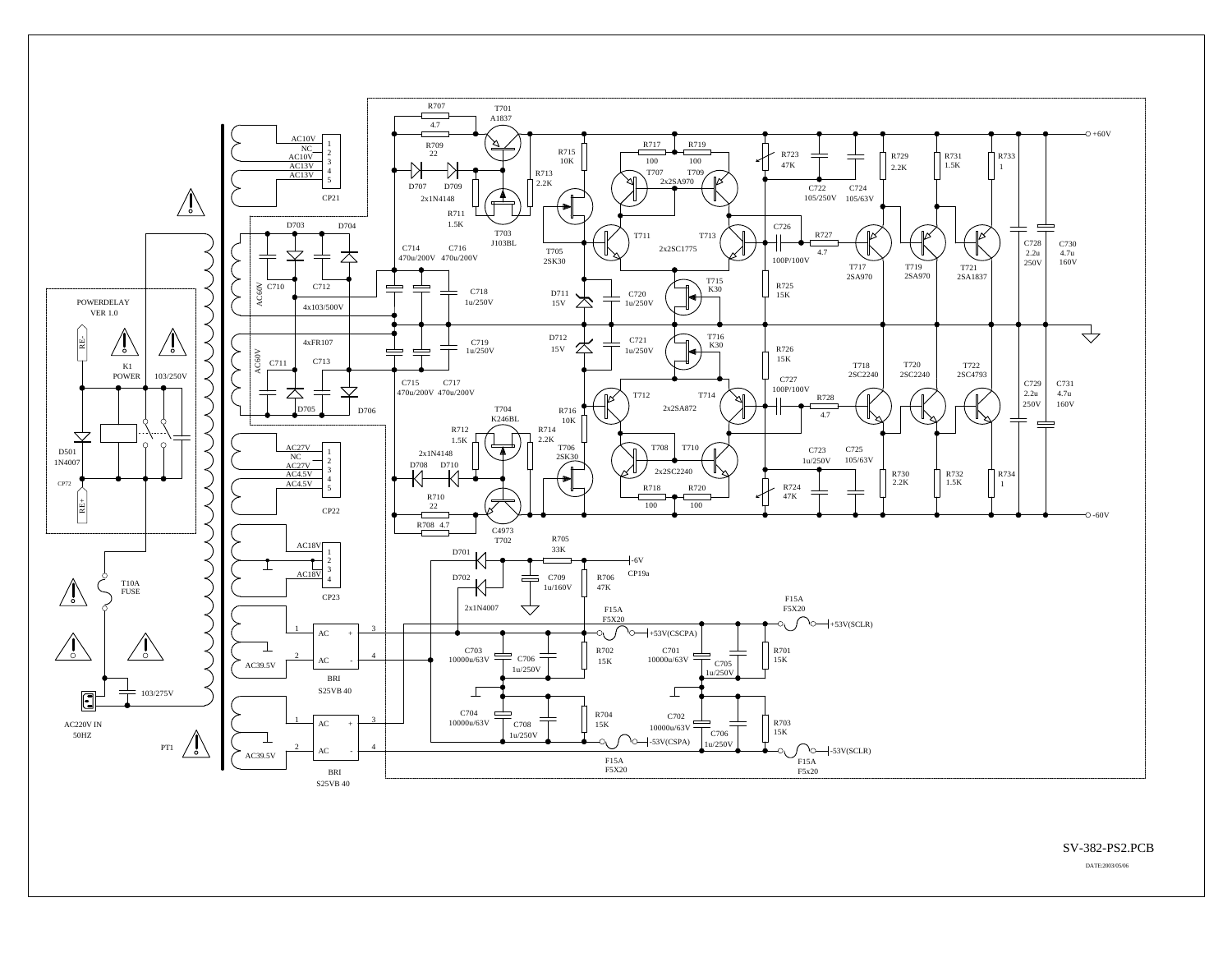

SV-382-PS2.PCB

DATE:2003/05/06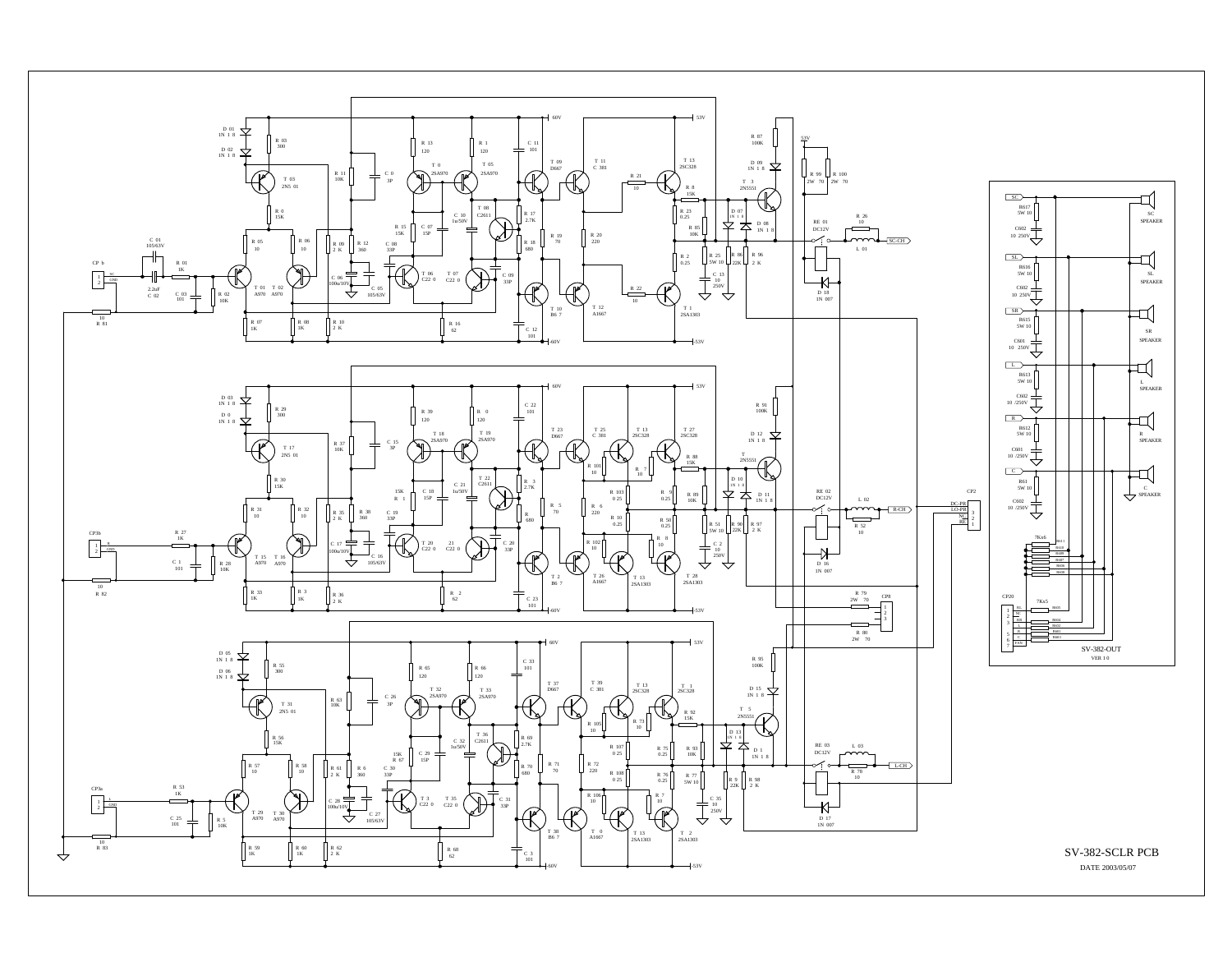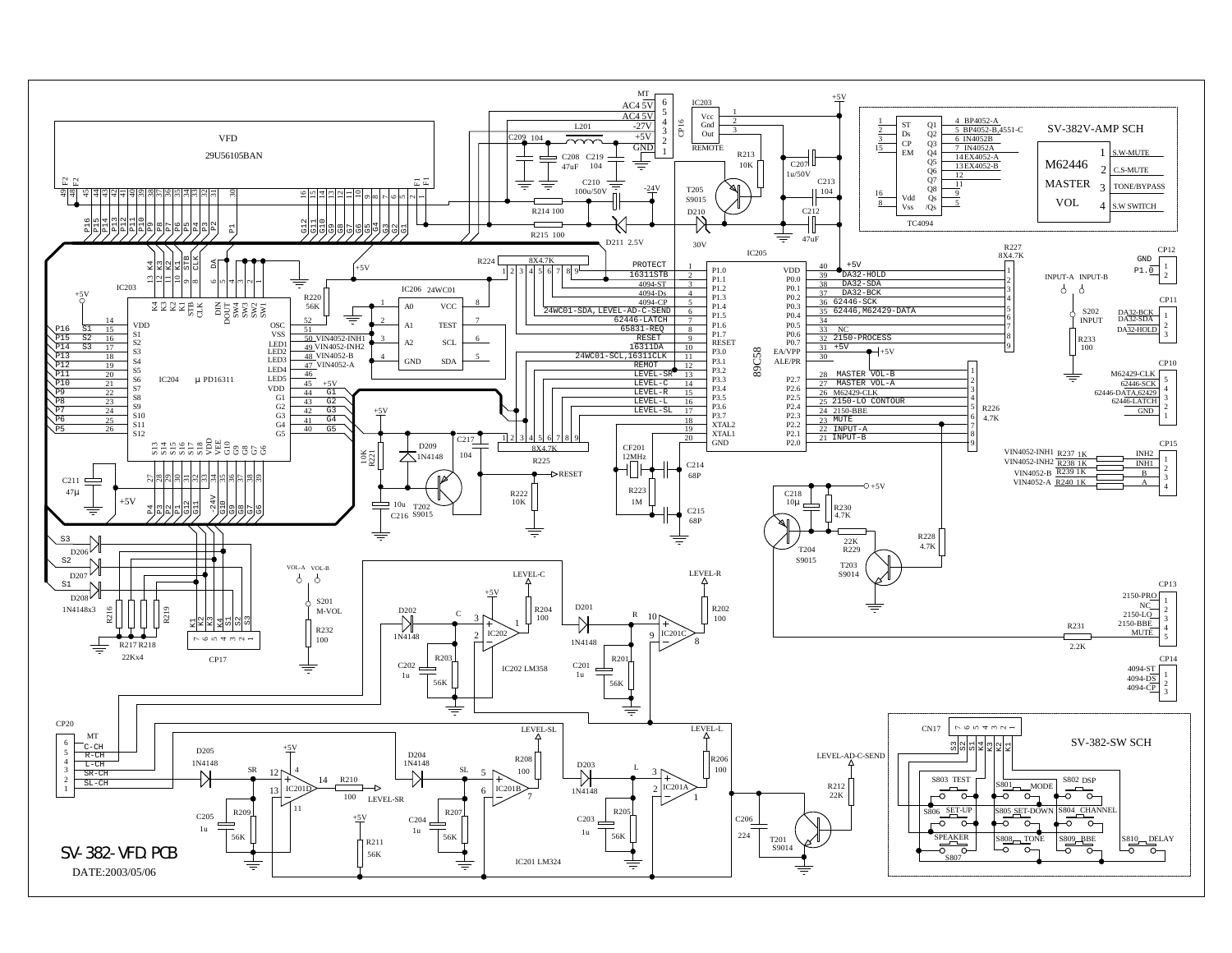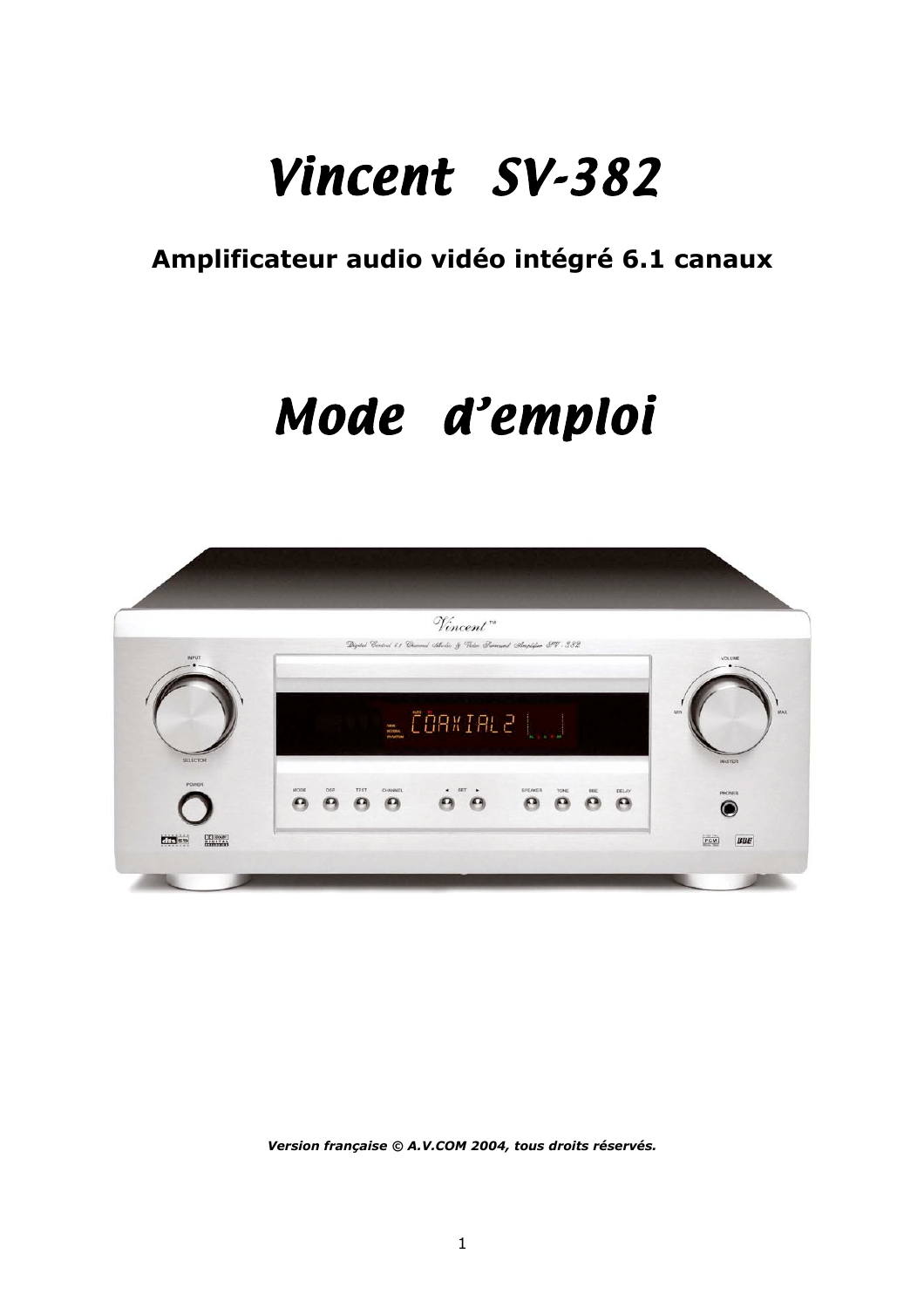### **Amplificateur audio vidéo intégré 6.1 canaux**

# *Mode d'emploi*



*Version française © A.V.COM 2004, tous droits réservés.*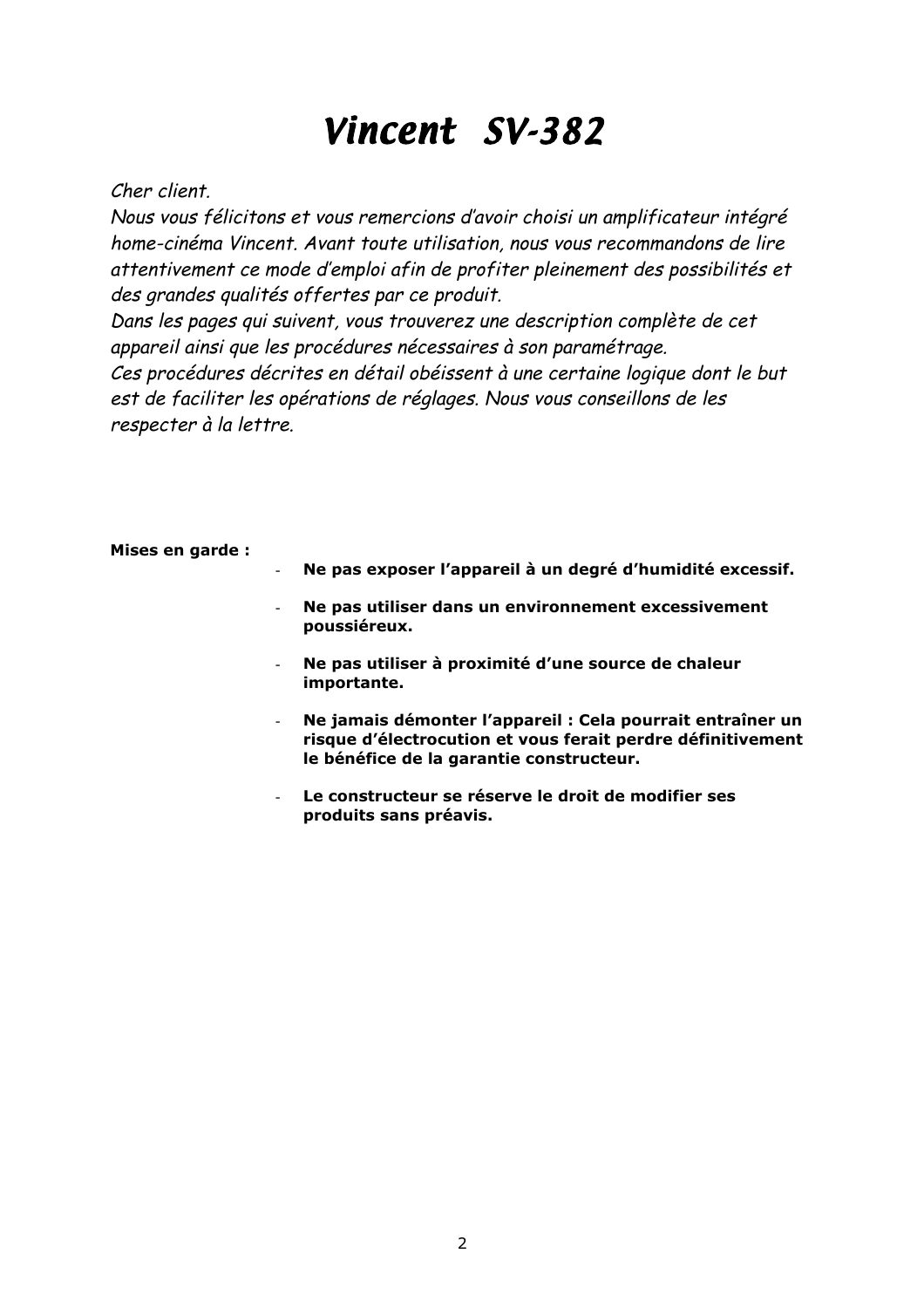#### Cher client.

Nous vous félicitons et vous remercions d'avoir choisi un amplificateur intégré home-cinéma Vincent. Avant toute utilisation, nous vous recommandons de lire attentivement ce mode d'emploi afin de profiter pleinement des possibilités et des grandes qualités offertes par ce produit.

Dans les pages qui suivent, vous trouverez une description complète de cet appareil ainsi que les procédures nécessaires à son paramétrage. Ces procédures décrites en détail obéissent à une certaine logique dont le but est de faciliter les opérations de réglages. Nous vous conseillons de les respecter à la lettre.

| Mises en garde:                                                                  |                                                                                                                                                                       |
|----------------------------------------------------------------------------------|-----------------------------------------------------------------------------------------------------------------------------------------------------------------------|
| $\sim$<br>$\blacksquare$<br>$\overline{\phantom{a}}$<br>$\overline{\phantom{a}}$ | Ne pas exposer l'appareil à un degré d'humidité excessif.                                                                                                             |
|                                                                                  | Ne pas utiliser dans un environnement excessivement<br>poussiéreux.                                                                                                   |
|                                                                                  | Ne pas utiliser à proximité d'une source de chaleur<br>importante.                                                                                                    |
|                                                                                  | Ne jamais démonter l'appareil : Cela pourrait entraîner un<br>risque d'électrocution et vous ferait perdre définitivement<br>le bénéfice de la garantie constructeur. |
|                                                                                  | Le constructeur se réserve le droit de modifier ses<br>produits sans préavis.                                                                                         |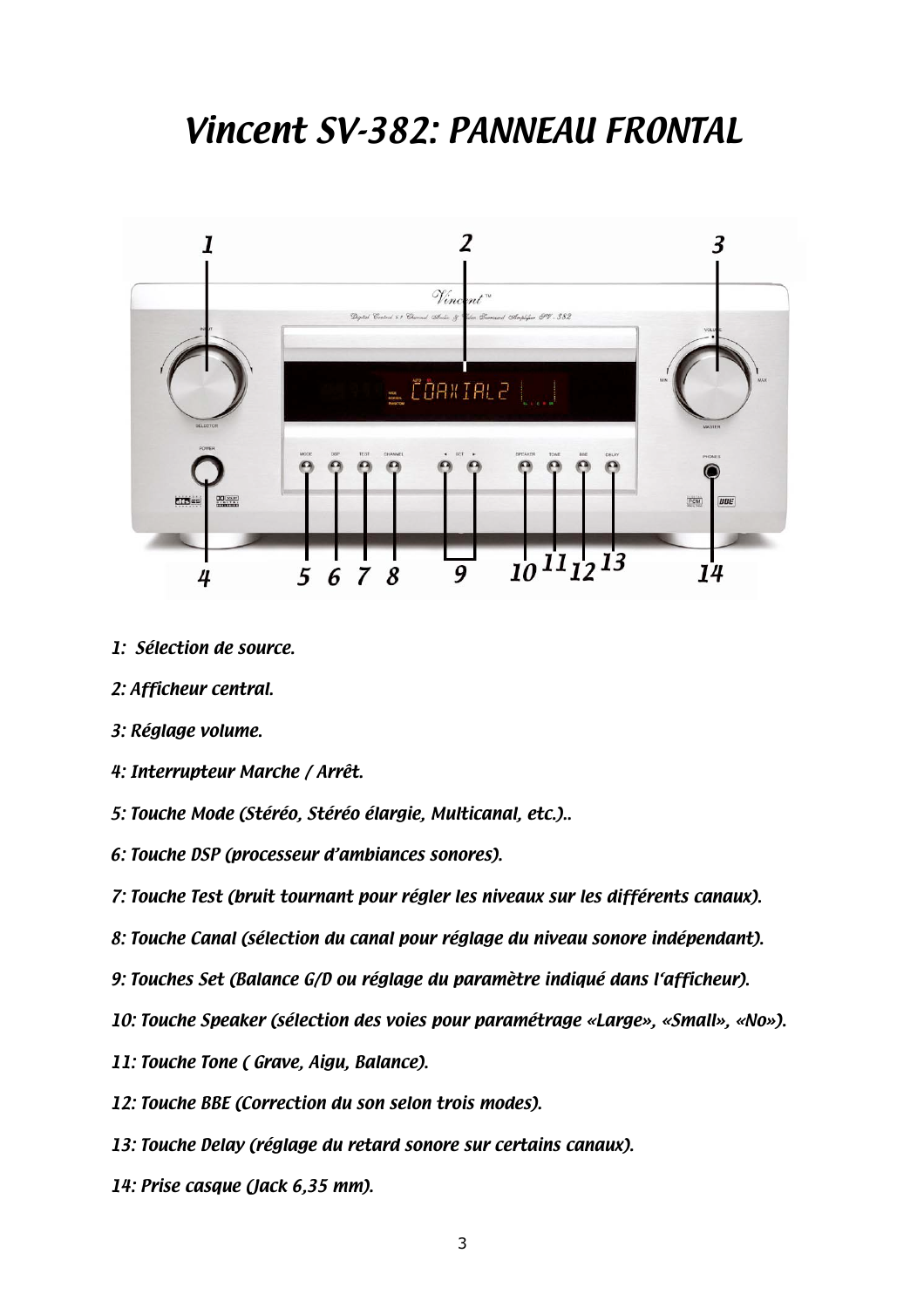### *Vincent SV-382: PANNEAU FRONTAL*



- *1: Sélection de source.*
- *2: Afficheur central.*
- *3: Réglage volume.*
- *4: Interrupteur Marche / Arrêt.*
- *5: Touche Mode (Stéréo, Stéréo élargie, Multicanal, etc.)..*
- *6: Touche DSP (processeur d'ambiances sonores).*
- *7: Touche Test (bruit tournant pour régler les niveaux sur les différents canaux).*
- *8: Touche Canal (sélection du canal pour réglage du niveau sonore indépendant).*
- *9: Touches Set (Balance G/D ou réglage du paramètre indiqué dans l'afficheur).*
- *10: Touche Speaker (sélection des voies pour paramétrage «Large», «Small», «No»).*
- *11: Touche Tone ( Grave, Aigu, Balance).*
- *12: Touche BBE (Correction du son selon trois modes).*
- *13: Touche Delay (réglage du retard sonore sur certains canaux).*
- *14: Prise casque (Jack 6,35 mm).*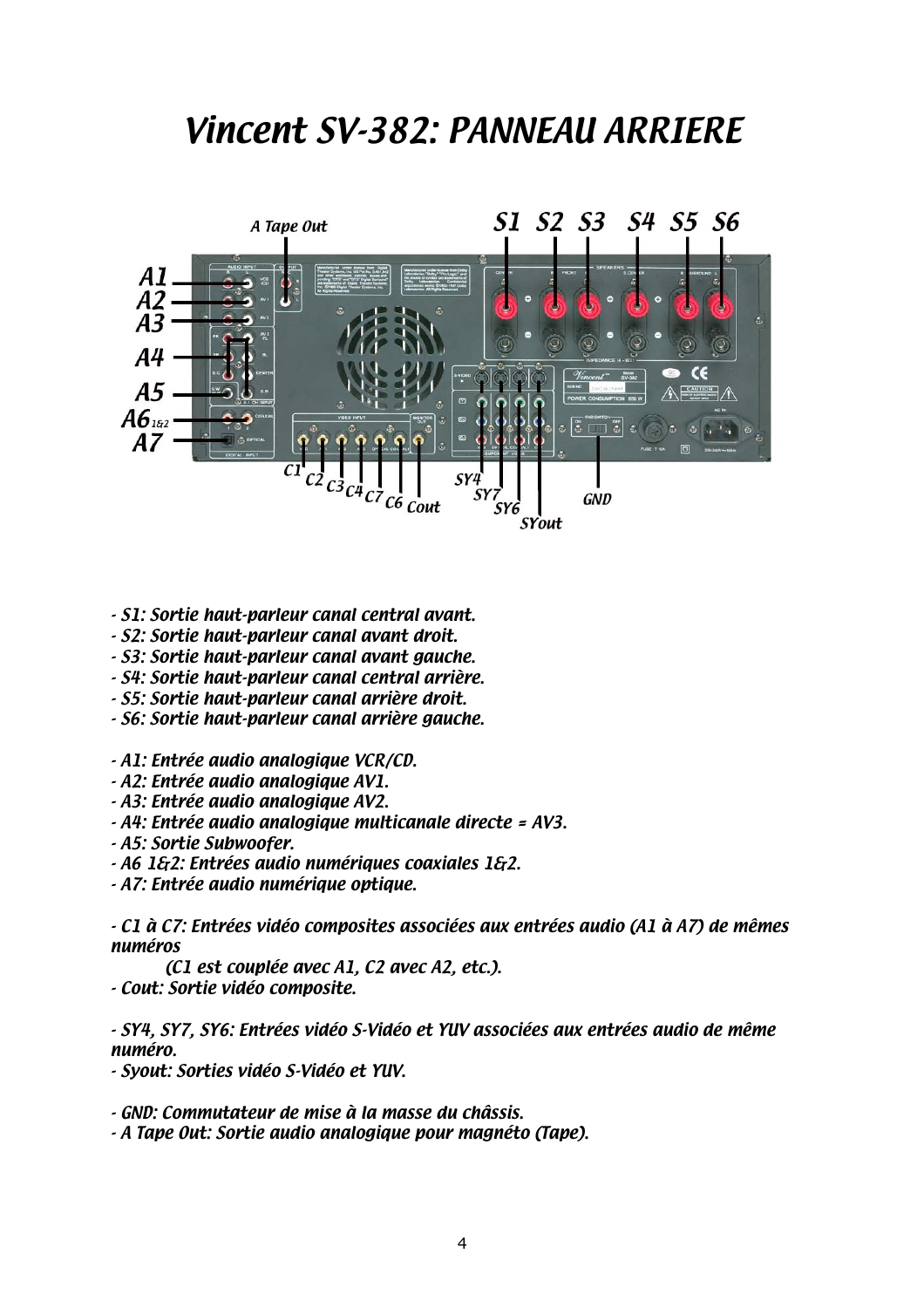### *Vincent SV-382: PANNEAU ARRIERE*



- *S1: Sortie haut-parleur canal central avant.*
- *S2: Sortie haut-parleur canal avant droit.*
- *S3: Sortie haut-parleur canal avant gauche.*
- *S4: Sortie haut-parleur canal central arrière.*
- *S5: Sortie haut-parleur canal arrière droit.*
- *S6: Sortie haut-parleur canal arrière gauche.*
- *A1: Entrée audio analogique VCR/CD.*
- *A2: Entrée audio analogique AV1.*
- *A3: Entrée audio analogique AV2.*
- *A4: Entrée audio analogique multicanale directe = AV3.*
- *A5: Sortie Subwoofer.*
- *A6 1&2: Entrées audio numériques coaxiales 1&2.*
- *A7: Entrée audio numérique optique.*

*- C1 à C7: Entrées vidéo composites associées aux entrées audio (A1 à A7) de mêmes numéros*

*(C1 est couplée avec A1, C2 avec A2, etc.). - Cout: Sortie vidéo composite.*

*- SY4, SY7, SY6: Entrées vidéo S-Vidéo et YUV associées aux entrées audio de même numéro.*

*- Syout: Sorties vidéo S-Vidéo et YUV.*

*- GND: Commutateur de mise à la masse du châssis.*

*- A Tape Out: Sortie audio analogique pour magnéto (Tape).*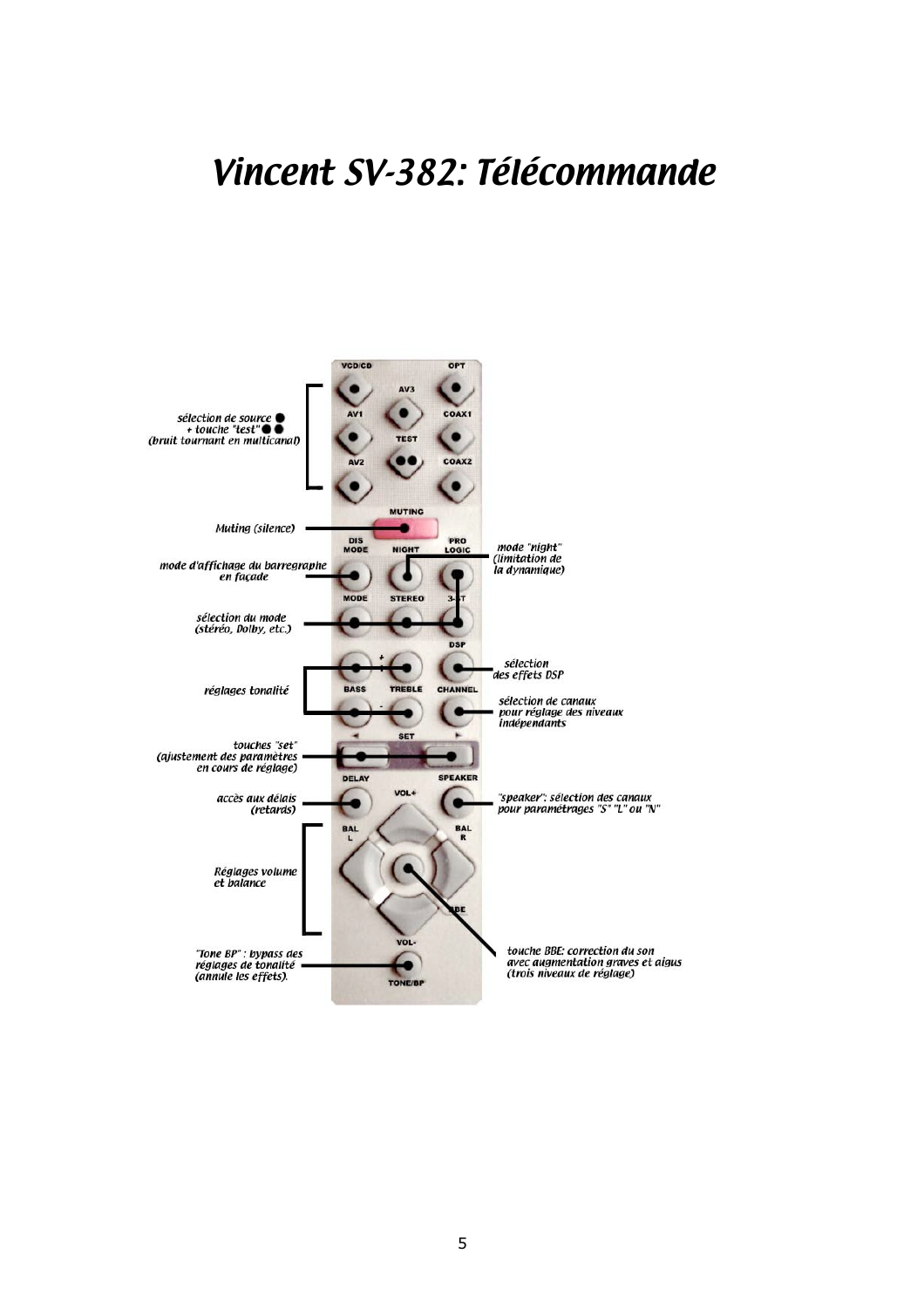### Vincent SV-382: Télécommande

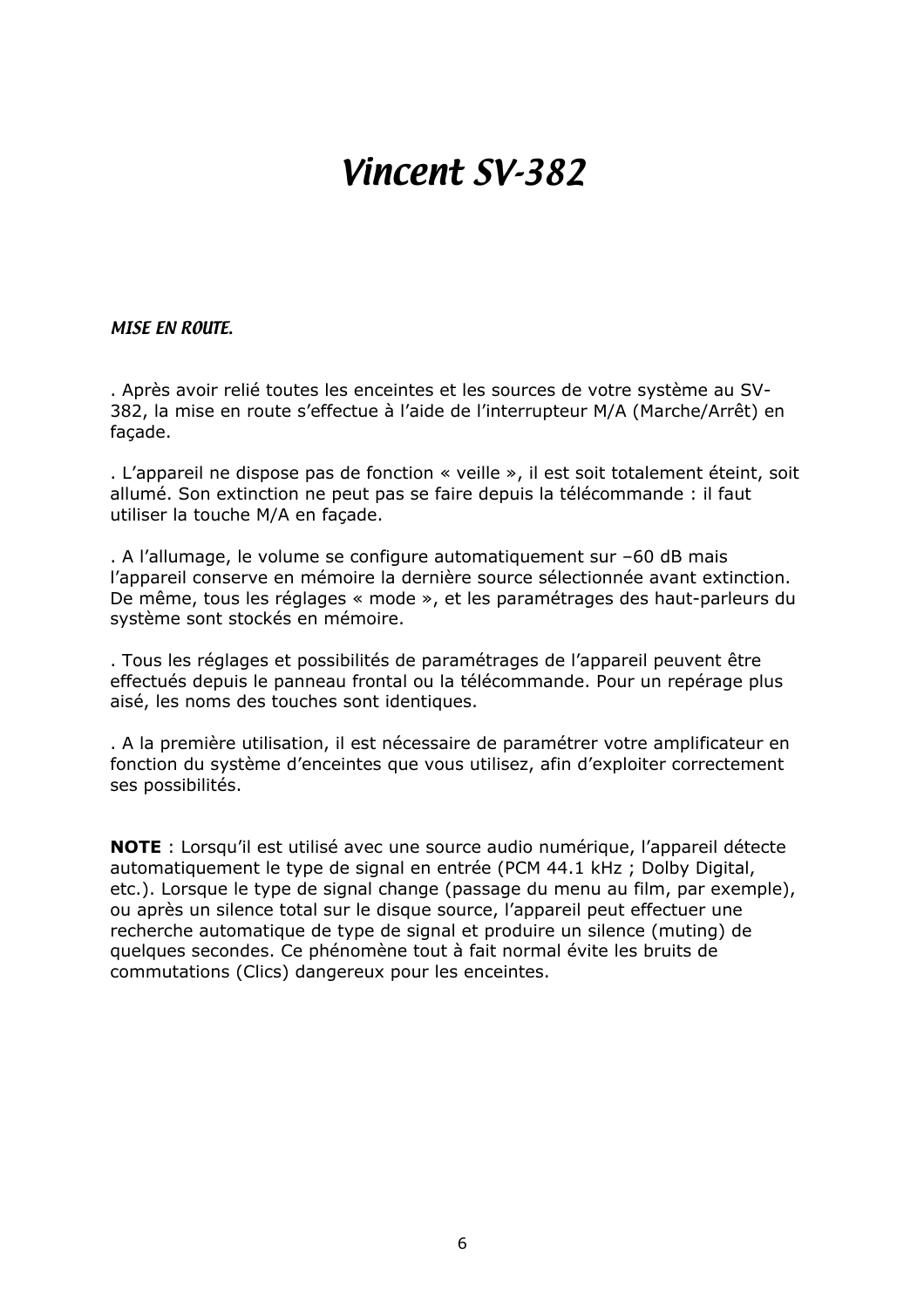#### *MISE EN ROUTE.*

. Après avoir relié toutes les enceintes et les sources de votre système au SV-382, la mise en route s'effectue à l'aide de l'interrupteur M/A (Marche/Arrêt) en façade.

. L'appareil ne dispose pas de fonction « veille », il est soit totalement éteint, soit allumé. Son extinction ne peut pas se faire depuis la télécommande : il faut utiliser la touche M/A en façade.

. A l'allumage, le volume se configure automatiquement sur –60 dB mais l'appareil conserve en mémoire la dernière source sélectionnée avant extinction. De même, tous les réglages « mode », et les paramétrages des haut-parleurs du système sont stockés en mémoire.

. Tous les réglages et possibilités de paramétrages de l'appareil peuvent être effectués depuis le panneau frontal ou la télécommande. Pour un repérage plus aisé, les noms des touches sont identiques.

. A la première utilisation, il est nécessaire de paramétrer votre amplificateur en fonction du système d'enceintes que vous utilisez, afin d'exploiter correctement ses possibilités.

**NOTE** : Lorsqu'il est utilisé avec une source audio numérique, l'appareil détecte automatiquement le type de signal en entrée (PCM 44.1 kHz ; Dolby Digital, etc.). Lorsque le type de signal change (passage du menu au film, par exemple), ou après un silence total sur le disque source, l'appareil peut effectuer une recherche automatique de type de signal et produire un silence (muting) de quelques secondes. Ce phénomène tout à fait normal évite les bruits de commutations (Clics) dangereux pour les enceintes.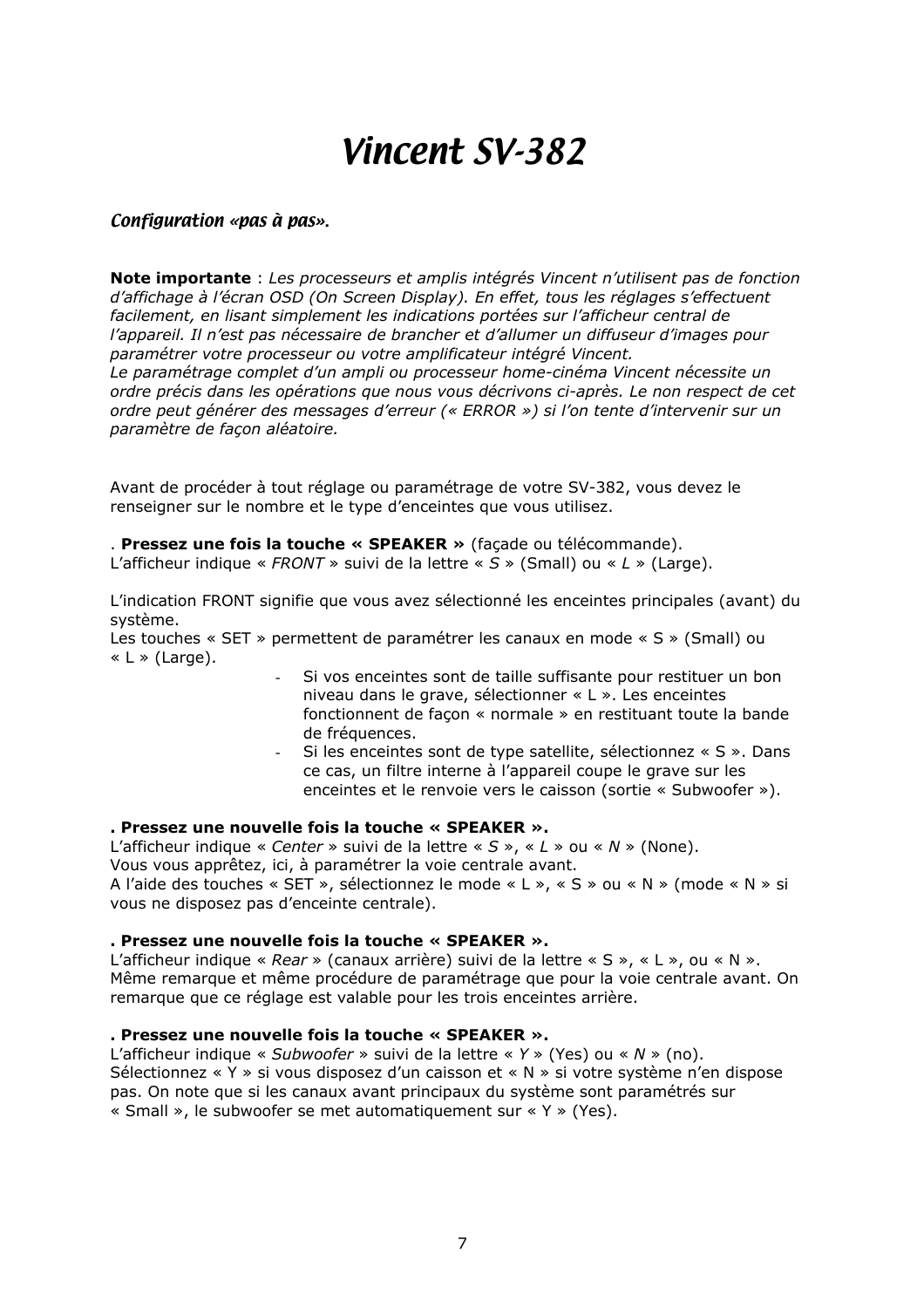#### *Configuration «pas à pas».*

**Note importante** : *Les processeurs et amplis intégrés Vincent n'utilisent pas de fonction d'affichage à l'écran OSD (On Screen Display). En effet, tous les réglages s'effectuent facilement, en lisant simplement les indications portées sur l'afficheur central de l'appareil. Il n'est pas nécessaire de brancher et d'allumer un diffuseur d'images pour paramétrer votre processeur ou votre amplificateur intégré Vincent. Le paramétrage complet d'un ampli ou processeur home-cinéma Vincent nécessite un ordre précis dans les opérations que nous vous décrivons ci-après. Le non respect de cet ordre peut générer des messages d'erreur (« ERROR ») si l'on tente d'intervenir sur un paramètre de façon aléatoire.*

Avant de procéder à tout réglage ou paramétrage de votre SV-382, vous devez le renseigner sur le nombre et le type d'enceintes que vous utilisez.

#### . **Pressez une fois la touche « SPEAKER »** (façade ou télécommande).

L'afficheur indique « *FRONT* » suivi de la lettre « *S* » (Small) ou « *L* » (Large).

L'indication FRONT signifie que vous avez sélectionné les enceintes principales (avant) du système.

Les touches « SET » permettent de paramétrer les canaux en mode « S » (Small) ou  $\ll L \gg$  (Large).

- Si vos enceintes sont de taille suffisante pour restituer un bon niveau dans le grave, sélectionner « L ». Les enceintes fonctionnent de façon « normale » en restituant toute la bande de fréquences.
- Si les enceintes sont de type satellite, sélectionnez « S ». Dans ce cas, un filtre interne à l'appareil coupe le grave sur les enceintes et le renvoie vers le caisson (sortie « Subwoofer »).

#### **. Pressez une nouvelle fois la touche « SPEAKER ».**

L'afficheur indique « *Center* » suivi de la lettre « *S* », « *L* » ou « *N* » (None). Vous vous apprêtez, ici, à paramétrer la voie centrale avant. A l'aide des touches « SET », sélectionnez le mode « L », « S » ou « N » (mode « N » si vous ne disposez pas d'enceinte centrale).

#### **. Pressez une nouvelle fois la touche « SPEAKER ».**

L'afficheur indique « *Rear* » (canaux arrière) suivi de la lettre « S », « L », ou « N ». Même remarque et même procédure de paramétrage que pour la voie centrale avant. On remarque que ce réglage est valable pour les trois enceintes arrière.

#### **. Pressez une nouvelle fois la touche « SPEAKER ».**

L'afficheur indique « *Subwoofer* » suivi de la lettre « *Y* » (Yes) ou « *N* » (no). Sélectionnez « Y » si vous disposez d'un caisson et « N » si votre système n'en dispose pas. On note que si les canaux avant principaux du système sont paramétrés sur « Small », le subwoofer se met automatiquement sur « Y » (Yes).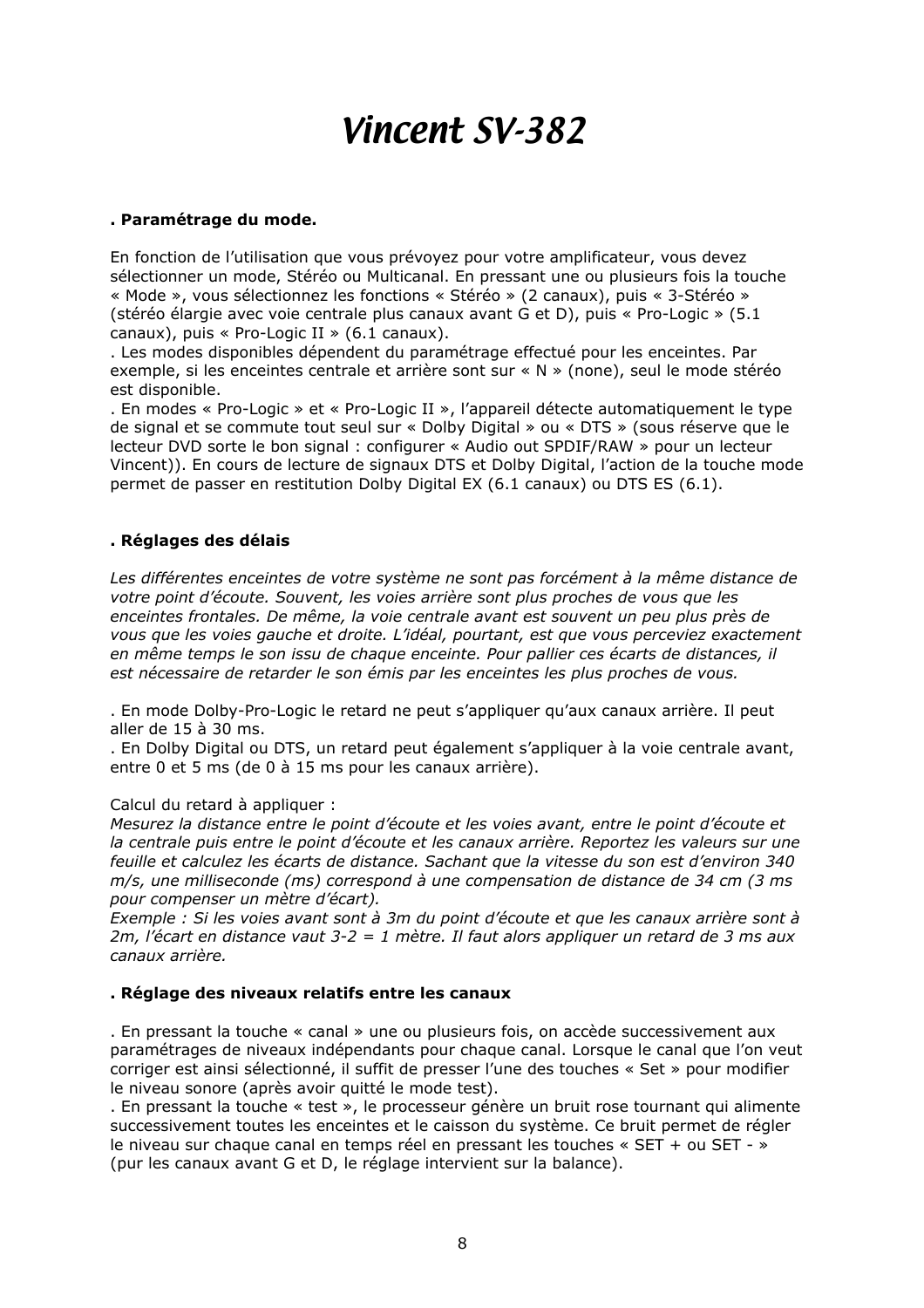#### **. Paramétrage du mode.**

En fonction de l'utilisation que vous prévoyez pour votre amplificateur, vous devez sélectionner un mode, Stéréo ou Multicanal. En pressant une ou plusieurs fois la touche « Mode », vous sélectionnez les fonctions « Stéréo » (2 canaux), puis « 3-Stéréo » (stéréo élargie avec voie centrale plus canaux avant G et D), puis « Pro-Logic » (5.1 canaux), puis « Pro-Logic II » (6.1 canaux).

. Les modes disponibles dépendent du paramétrage effectué pour les enceintes. Par exemple, si les enceintes centrale et arrière sont sur « N » (none), seul le mode stéréo est disponible.

. En modes « Pro-Logic » et « Pro-Logic II », l'appareil détecte automatiquement le type de signal et se commute tout seul sur « Dolby Digital » ou « DTS » (sous réserve que le lecteur DVD sorte le bon signal : configurer « Audio out SPDIF/RAW » pour un lecteur Vincent)). En cours de lecture de signaux DTS et Dolby Digital, l'action de la touche mode permet de passer en restitution Dolby Digital EX (6.1 canaux) ou DTS ES (6.1).

#### **. Réglages des délais**

*Les différentes enceintes de votre système ne sont pas forcément à la même distance de votre point d'écoute. Souvent, les voies arrière sont plus proches de vous que les enceintes frontales. De même, la voie centrale avant est souvent un peu plus près de vous que les voies gauche et droite. L'idéal, pourtant, est que vous perceviez exactement en même temps le son issu de chaque enceinte. Pour pallier ces écarts de distances, il est nécessaire de retarder le son émis par les enceintes les plus proches de vous.*

. En mode Dolby-Pro-Logic le retard ne peut s'appliquer qu'aux canaux arrière. Il peut aller de 15 à 30 ms.

. En Dolby Digital ou DTS, un retard peut également s'appliquer à la voie centrale avant, entre 0 et 5 ms (de 0 à 15 ms pour les canaux arrière).

#### Calcul du retard à appliquer :

*Mesurez la distance entre le point d'écoute et les voies avant, entre le point d'écoute et la centrale puis entre le point d'écoute et les canaux arrière. Reportez les valeurs sur une feuille et calculez les écarts de distance. Sachant que la vitesse du son est d'environ 340 m/s, une milliseconde (ms) correspond à une compensation de distance de 34 cm (3 ms pour compenser un mètre d'écart).*

*Exemple : Si les voies avant sont à 3m du point d'écoute et que les canaux arrière sont à 2m, l'écart en distance vaut 3-2 = 1 mètre. Il faut alors appliquer un retard de 3 ms aux canaux arrière.*

#### **. Réglage des niveaux relatifs entre les canaux**

. En pressant la touche « canal » une ou plusieurs fois, on accède successivement aux paramétrages de niveaux indépendants pour chaque canal. Lorsque le canal que l'on veut corriger est ainsi sélectionné, il suffit de presser l'une des touches « Set » pour modifier le niveau sonore (après avoir quitté le mode test).

. En pressant la touche « test », le processeur génère un bruit rose tournant qui alimente successivement toutes les enceintes et le caisson du système. Ce bruit permet de régler le niveau sur chaque canal en temps réel en pressant les touches « SET + ou SET - » (pur les canaux avant G et D, le réglage intervient sur la balance).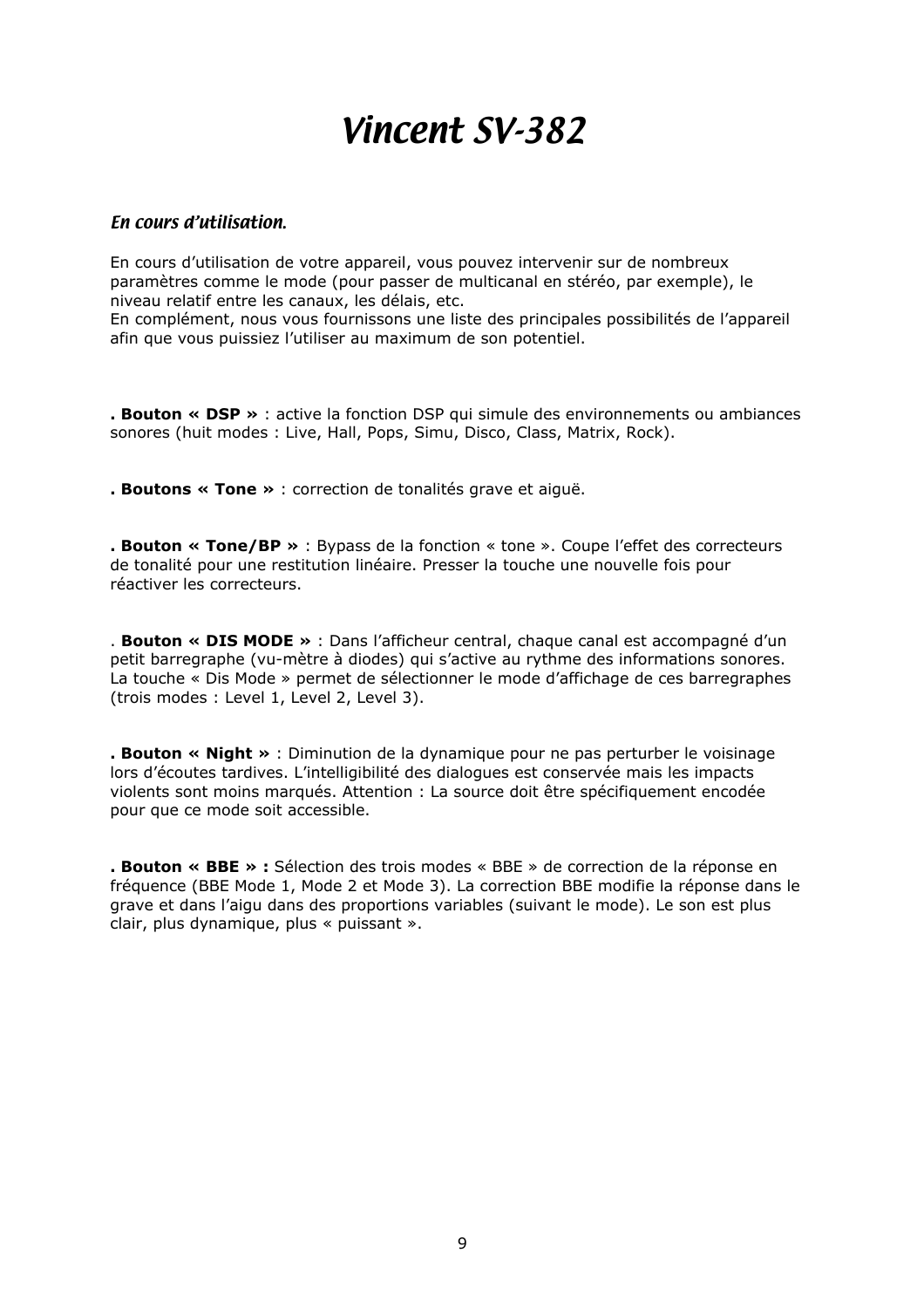#### *En cours d'utilisation.*

En cours d'utilisation de votre appareil, vous pouvez intervenir sur de nombreux paramètres comme le mode (pour passer de multicanal en stéréo, par exemple), le niveau relatif entre les canaux, les délais, etc. En complément, nous vous fournissons une liste des principales possibilités de l'appareil afin que vous puissiez l'utiliser au maximum de son potentiel.

**. Bouton « DSP »** : active la fonction DSP qui simule des environnements ou ambiances sonores (huit modes : Live, Hall, Pops, Simu, Disco, Class, Matrix, Rock).

**. Boutons « Tone »** : correction de tonalités grave et aiguë.

**. Bouton « Tone/BP »** : Bypass de la fonction « tone ». Coupe l'effet des correcteurs de tonalité pour une restitution linéaire. Presser la touche une nouvelle fois pour réactiver les correcteurs.

. **Bouton « DIS MODE »** : Dans l'afficheur central, chaque canal est accompagné d'un petit barregraphe (vu-mètre à diodes) qui s'active au rythme des informations sonores. La touche « Dis Mode » permet de sélectionner le mode d'affichage de ces barregraphes (trois modes : Level 1, Level 2, Level 3).

**. Bouton « Night »** : Diminution de la dynamique pour ne pas perturber le voisinage lors d'écoutes tardives. L'intelligibilité des dialogues est conservée mais les impacts violents sont moins marqués. Attention : La source doit être spécifiquement encodée pour que ce mode soit accessible.

**. Bouton « BBE » :** Sélection des trois modes « BBE » de correction de la réponse en fréquence (BBE Mode 1, Mode 2 et Mode 3). La correction BBE modifie la réponse dans le grave et dans l'aigu dans des proportions variables (suivant le mode). Le son est plus clair, plus dynamique, plus « puissant ».